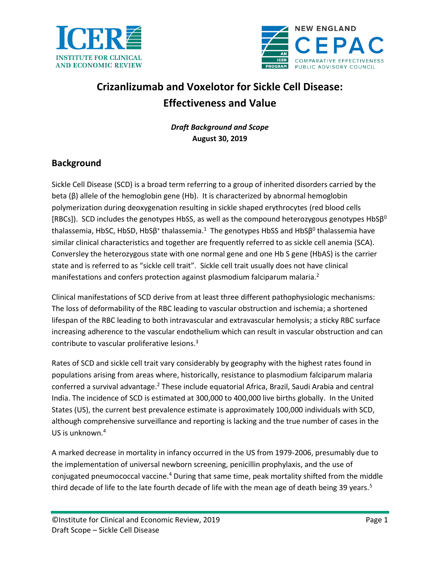



# **Crizanlizumab and Voxelotor for Sickle Cell Disease: Effectiveness and Value**

*Draft Background and Scope* **August 30, 2019**

# **Background**

Sickle Cell Disease (SCD) is a broad term referring to a group of inherited disorders carried by the beta  $(\beta)$  allele of the hemoglobin gene (Hb). It is characterized by abnormal hemoglobin polymerization during deoxygenation resulting in sickle shaped erythrocytes (red blood cells [RBCs]). SCD includes the genotypes HbSS, as well as the compound heterozygous genotypes HbS $\beta^0$ thalassemia, HbSC, HbSD, HbSβ<sup>+</sup> thalassemia[.](#page-8-0)<sup>1</sup> The genotypes HbSS and HbSβ<sup>0</sup> thalassemia have similar clinical characteristics and together are frequently referred to as sickle cell anemia (SCA). Conversley the heterozygous state with one normal gene and one Hb S gene (HbAS) is the carrier state and is referred to as "sickle cell trait". Sickle cell trait usually does not have clinical manifestations and confers protection against plasmodium falciparum malaria.<sup>[2](#page-8-1)</sup>

Clinical manifestations of SCD derive from at least three different pathophysiologic mechanisms: The loss of deformability of the RBC leading to vascular obstruction and ischemia; a shortened lifespan of the RBC leading to both intravascular and extravascular hemolysis; a sticky RBC surface increasing adherence to the vascular endothelium which can result in vascular obstruction and can contribute to vascular proliferative lesions. [3](#page-8-2)

Rates of SCD and sickle cell trait vary considerably by geography with the highest rates found in populations arising from areas where, historically, resistance to plasmodium falciparum malaria conferred a survival advantage[.](#page-8-1)<sup>2</sup> These include equatorial Africa, Brazil, Saudi Arabia and central India. The incidence of SCD is estimated at 300,000 to 400,000 live births globally. In the United States (US), the current best prevalence estimate is approximately 100,000 individuals with SCD, although comprehensive surveillance and reporting is lacking and the true number of cases in the US is unknown[.](#page-8-3)<sup>4</sup>

A marked decrease in mortality in infancy occurred in the US from 1979-2006, presumably due to the implementation of universal newborn screening, penicillin prophylaxis, and the use of conjugated pneumococcal vaccine.<sup>[4](#page-8-3)</sup> During that same time, peak mortality shifted from the middle third decade of life to the late fourth decade of life with the mean age of death being 39 years.<sup>[5](#page-8-4)</sup>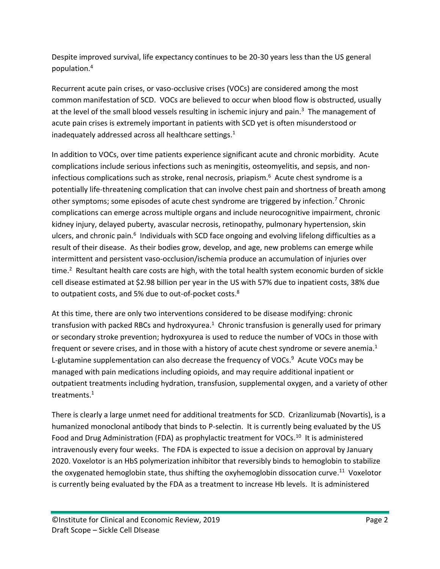Despite improved survival, life expectancy continues to be 20-30 years less than the US general population.[4](#page-8-3)

Recurrent acute pain crises, or vaso-occlusive crises (VOCs) are considered among the most common manifestation of SCD. VOCs are believed to occur when blood flow is obstructed, usually at the level of the small blood vessels resulting in ischemic injury and pain.<sup>[3](#page-8-2)</sup> The management of acute pain crises is extremely important in patients with SCD yet is often misunderstood or inadequately addressed across all healthcare settings[.](#page-8-0)<sup>1</sup>

In addition to VOCs, over time patients experience significant acute and chronic morbidity. Acute complications include serious infections such as meningitis, osteomyelitis, and sepsis, and non-infectious complications such as stroke, renal necrosis, priapism.<sup>[6](#page-8-5)</sup> Acute chest syndrome is a potentially life-threatening complication that can involve chest pain and shortness of breath among other symptoms; some episodes of acute chest syndrome are triggered by infection[.](#page-8-6)<sup>7</sup> Chronic complications can emerge across multiple organs and include neurocognitive impairment, chronic kidney injury, delayed puberty, avascular necrosis, retinopathy, pulmonary hypertension, skin ulcers, and chronic pain[.](#page-8-5)<sup>6</sup> Individuals with SCD face ongoing and evolving lifelong difficulties as a result of their disease. As their bodies grow, develop, and age, new problems can emerge while intermittent and persistent vaso-occlusion/ischemia produce an accumulation of injuries over time.<sup>[2](#page-8-1)</sup> Resultant health care costs are high, with the total health system economic burden of sickle cell disease estimated at \$2.98 billion per year in the US with 57% due to inpatient costs, 38% due to outpatient costs, and 5% due to out-of-pocket costs[.](#page-8-7)<sup>8</sup>

At this time, there are only two interventions considered to be disease modifying: chronic transfusion with packed RBCs and hydroxyurea[.](#page-8-0)<sup>1</sup> Chronic transfusion is generally used for primary or secondary stroke prevention; hydroxyurea is used to reduce the number of VOCs in those with frequent or severe crises, and in those with a history of acute chest syndrome or severe anemia[.](#page-8-0)<sup>1</sup> L-glutamine supplementation can also decrease the frequency of VOCs. [9](#page-8-8) Acute VOCs may be managed with pain medications including opioids, and may require additional inpatient or outpatient treatments including hydration, transfusion, supplemental oxygen, and a variety of other treatments. [1](#page-8-0)

There is clearly a large unmet need for additional treatments for SCD. Crizanlizumab (Novartis), is a humanized monoclonal antibody that binds to P-selectin. It is currently being evaluated by the US Food and Drug Administration (FDA) as prophylactic treatment for VOCs.<sup>[10](#page-8-9)</sup> It is administered intravenously every four weeks. The FDA is expected to issue a decision on approval by January 2020. Voxelotor is an HbS polymerization inhibitor that reversibly binds to hemoglobin to stabilize the oxygenated hemoglobin state, thus shifting the oxyhemoglobin dissocation curve.<sup>[11](#page-8-10)</sup> Voxelotor is currently being evaluated by the FDA as a treatment to increase Hb levels. It is administered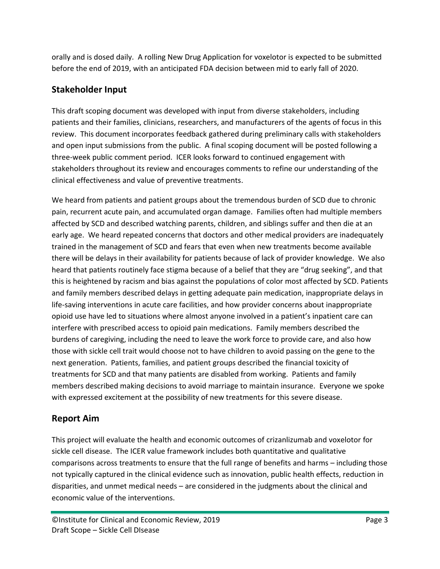orally and is dosed daily. A rolling New Drug Application for voxelotor is expected to be submitted before the end of 2019, with an anticipated FDA decision between mid to early fall of 2020.

# **Stakeholder Input**

This draft scoping document was developed with input from diverse stakeholders, including patients and their families, clinicians, researchers, and manufacturers of the agents of focus in this review. This document incorporates feedback gathered during preliminary calls with stakeholders and open input submissions from the public. A final scoping document will be posted following a three-week public comment period. ICER looks forward to continued engagement with stakeholders throughout its review and encourages comments to refine our understanding of the clinical effectiveness and value of preventive treatments.

We heard from patients and patient groups about the tremendous burden of SCD due to chronic pain, recurrent acute pain, and accumulated organ damage. Families often had multiple members affected by SCD and described watching parents, children, and siblings suffer and then die at an early age. We heard repeated concerns that doctors and other medical providers are inadequately trained in the management of SCD and fears that even when new treatments become available there will be delays in their availability for patients because of lack of provider knowledge. We also heard that patients routinely face stigma because of a belief that they are "drug seeking", and that this is heightened by racism and bias against the populations of color most affected by SCD. Patients and family members described delays in getting adequate pain medication, inappropriate delays in life-saving interventions in acute care facilities, and how provider concerns about inappropriate opioid use have led to situations where almost anyone involved in a patient's inpatient care can interfere with prescribed access to opioid pain medications. Family members described the burdens of caregiving, including the need to leave the work force to provide care, and also how those with sickle cell trait would choose not to have children to avoid passing on the gene to the next generation. Patients, families, and patient groups described the financial toxicity of treatments for SCD and that many patients are disabled from working. Patients and family members described making decisions to avoid marriage to maintain insurance. Everyone we spoke with expressed excitement at the possibility of new treatments for this severe disease.

# **Report Aim**

This project will evaluate the health and economic outcomes of crizanlizumab and voxelotor for sickle cell disease. The ICER value framework includes both quantitative and qualitative comparisons across treatments to ensure that the full range of benefits and harms – including those not typically captured in the clinical evidence such as innovation, public health effects, reduction in disparities, and unmet medical needs – are considered in the judgments about the clinical and economic value of the interventions.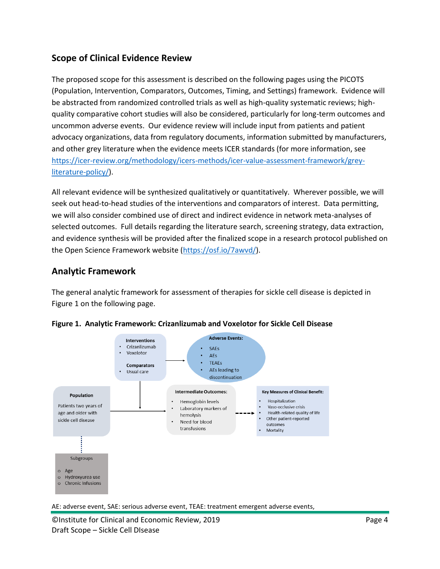# **Scope of Clinical Evidence Review**

The proposed scope for this assessment is described on the following pages using the PICOTS (Population, Intervention, Comparators, Outcomes, Timing, and Settings) framework. Evidence will be abstracted from randomized controlled trials as well as high-quality systematic reviews; highquality comparative cohort studies will also be considered, particularly for long-term outcomes and uncommon adverse events. Our evidence review will include input from patients and patient advocacy organizations, data from regulatory documents, information submitted by manufacturers, and other grey literature when the evidence meets ICER standards (for more information, see [https://icer-review.org/methodology/icers-methods/icer-value-assessment-framework/grey](https://icer-review.org/methodology/icers-methods/icer-value-assessment-framework/grey-literature-policy/)[literature-policy/\)](https://icer-review.org/methodology/icers-methods/icer-value-assessment-framework/grey-literature-policy/).

All relevant evidence will be synthesized qualitatively or quantitatively. Wherever possible, we will seek out head-to-head studies of the interventions and comparators of interest. Data permitting, we will also consider combined use of direct and indirect evidence in network meta-analyses of selected outcomes. Full details regarding the literature search, screening strategy, data extraction, and evidence synthesis will be provided after the finalized scope in a research protocol published on the Open Science Framework website [\(https://osf.io/7awvd/\)](https://osf.io/7awvd/).

### **Analytic Framework**

The general analytic framework for assessment of therapies for sickle cell disease is depicted in Figure 1 on the following page.



**Figure 1. Analytic Framework: Crizanlizumab and Voxelotor for Sickle Cell Disease**

AE: adverse event, SAE: serious adverse event, TEAE: treatment emergent adverse events,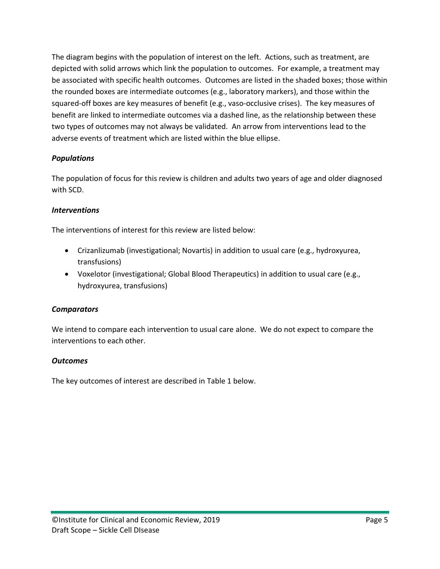The diagram begins with the population of interest on the left. Actions, such as treatment, are depicted with solid arrows which link the population to outcomes. For example, a treatment may be associated with specific health outcomes. Outcomes are listed in the shaded boxes; those within the rounded boxes are intermediate outcomes (e.g., laboratory markers), and those within the squared-off boxes are key measures of benefit (e.g., vaso-occlusive crises). The key measures of benefit are linked to intermediate outcomes via a dashed line, as the relationship between these two types of outcomes may not always be validated. An arrow from interventions lead to the adverse events of treatment which are listed within the blue ellipse.

### *Populations*

The population of focus for this review is children and adults two years of age and older diagnosed with SCD.

#### *Interventions*

The interventions of interest for this review are listed below:

- Crizanlizumab (investigational; Novartis) in addition to usual care (e.g., hydroxyurea, transfusions)
- Voxelotor (investigational; Global Blood Therapeutics) in addition to usual care (e.g., hydroxyurea, transfusions)

#### *Comparators*

We intend to compare each intervention to usual care alone. We do not expect to compare the interventions to each other.

#### *Outcomes*

The key outcomes of interest are described in Table 1 below.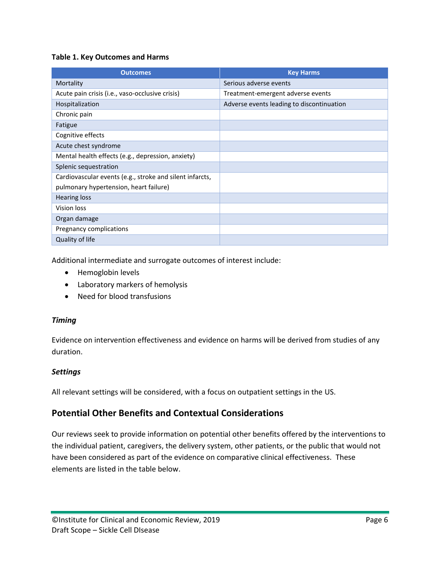#### **Table 1. Key Outcomes and Harms**

| <b>Outcomes</b>                                          | <b>Key Harms</b>                          |
|----------------------------------------------------------|-------------------------------------------|
| Mortality                                                | Serious adverse events                    |
| Acute pain crisis (i.e., vaso-occlusive crisis)          | Treatment-emergent adverse events         |
| Hospitalization                                          | Adverse events leading to discontinuation |
| Chronic pain                                             |                                           |
| Fatigue                                                  |                                           |
| Cognitive effects                                        |                                           |
| Acute chest syndrome                                     |                                           |
| Mental health effects (e.g., depression, anxiety)        |                                           |
| Splenic sequestration                                    |                                           |
| Cardiovascular events (e.g., stroke and silent infarcts, |                                           |
| pulmonary hypertension, heart failure)                   |                                           |
| <b>Hearing loss</b>                                      |                                           |
| Vision loss                                              |                                           |
| Organ damage                                             |                                           |
| Pregnancy complications                                  |                                           |
| Quality of life                                          |                                           |

Additional intermediate and surrogate outcomes of interest include:

- Hemoglobin levels
- Laboratory markers of hemolysis
- Need for blood transfusions

#### *Timing*

Evidence on intervention effectiveness and evidence on harms will be derived from studies of any duration.

#### *Settings*

All relevant settings will be considered, with a focus on outpatient settings in the US.

### **Potential Other Benefits and Contextual Considerations**

Our reviews seek to provide information on potential other benefits offered by the interventions to the individual patient, caregivers, the delivery system, other patients, or the public that would not have been considered as part of the evidence on comparative clinical effectiveness. These elements are listed in the table below.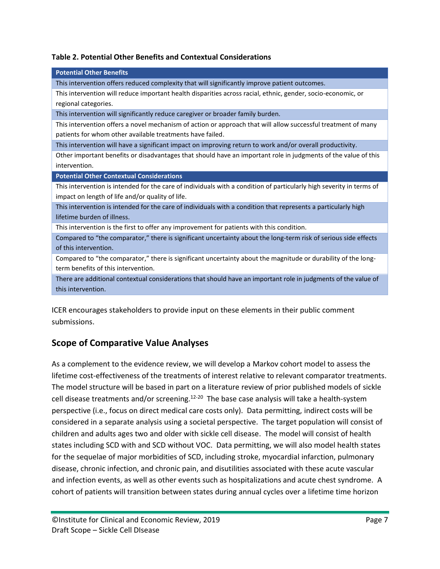#### **Table 2. Potential Other Benefits and Contextual Considerations**

| <b>Potential Other Benefits</b>                                                                                      |
|----------------------------------------------------------------------------------------------------------------------|
| This intervention offers reduced complexity that will significantly improve patient outcomes.                        |
| This intervention will reduce important health disparities across racial, ethnic, gender, socio-economic, or         |
| regional categories.                                                                                                 |
| This intervention will significantly reduce caregiver or broader family burden.                                      |
| This intervention offers a novel mechanism of action or approach that will allow successful treatment of many        |
| patients for whom other available treatments have failed.                                                            |
| This intervention will have a significant impact on improving return to work and/or overall productivity.            |
| Other important benefits or disadvantages that should have an important role in judgments of the value of this       |
| intervention.                                                                                                        |
| <b>Potential Other Contextual Considerations</b>                                                                     |
| This intervention is intended for the care of individuals with a condition of particularly high severity in terms of |
|                                                                                                                      |
| impact on length of life and/or quality of life.                                                                     |
| This intervention is intended for the care of individuals with a condition that represents a particularly high       |
| lifetime burden of illness.                                                                                          |
| This intervention is the first to offer any improvement for patients with this condition.                            |
| Compared to "the comparator," there is significant uncertainty about the long-term risk of serious side effects      |
| of this intervention.                                                                                                |
| Compared to "the comparator," there is significant uncertainty about the magnitude or durability of the long-        |
| term benefits of this intervention.                                                                                  |
| There are additional contextual considerations that should have an important role in judgments of the value of       |
| this intervention.                                                                                                   |

ICER encourages stakeholders to provide input on these elements in their public comment submissions.

# **Scope of Comparative Value Analyses**

As a complement to the evidence review, we will develop a Markov cohort model to assess the lifetime cost-effectiveness of the treatments of interest relative to relevant comparator treatments. The model structure will be based in part on a literature review of prior published models of sickle cell disease treatments and/or screening.<sup>[12-20](#page-8-11)</sup> The base case analysis will take a health-system perspective (i.e., focus on direct medical care costs only). Data permitting, indirect costs will be considered in a separate analysis using a societal perspective. The target population will consist of children and adults ages two and older with sickle cell disease. The model will consist of health states including SCD with and SCD without VOC. Data permitting, we will also model health states for the sequelae of major morbidities of SCD, including stroke, myocardial infarction, pulmonary disease, chronic infection, and chronic pain, and disutilities associated with these acute vascular and infection events, as well as other events such as hospitalizations and acute chest syndrome. A cohort of patients will transition between states during annual cycles over a lifetime time horizon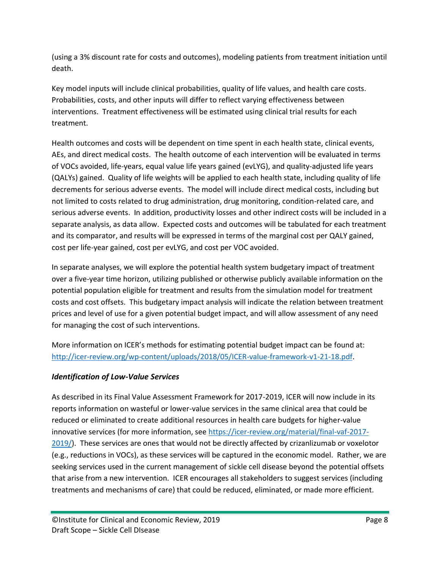(using a 3% discount rate for costs and outcomes), modeling patients from treatment initiation until death.

Key model inputs will include clinical probabilities, quality of life values, and health care costs. Probabilities, costs, and other inputs will differ to reflect varying effectiveness between interventions. Treatment effectiveness will be estimated using clinical trial results for each treatment.

Health outcomes and costs will be dependent on time spent in each health state, clinical events, AEs, and direct medical costs. The health outcome of each intervention will be evaluated in terms of VOCs avoided, life-years, equal value life years gained (evLYG), and quality-adjusted life years (QALYs) gained. Quality of life weights will be applied to each health state, including quality of life decrements for serious adverse events. The model will include direct medical costs, including but not limited to costs related to drug administration, drug monitoring, condition-related care, and serious adverse events. In addition, productivity losses and other indirect costs will be included in a separate analysis, as data allow. Expected costs and outcomes will be tabulated for each treatment and its comparator, and results will be expressed in terms of the marginal cost per QALY gained, cost per life-year gained, cost per evLYG, and cost per VOC avoided.

In separate analyses, we will explore the potential health system budgetary impact of treatment over a five-year time horizon, utilizing published or otherwise publicly available information on the potential population eligible for treatment and results from the simulation model for treatment costs and cost offsets. This budgetary impact analysis will indicate the relation between treatment prices and level of use for a given potential budget impact, and will allow assessment of any need for managing the cost of such interventions.

More information on ICER's methods for estimating potential budget impact can be found at: [http://icer-review.org/wp-content/uploads/2018/05/ICER-value-framework-v1-21-18.pdf.](http://icer-review.org/wp-content/uploads/2018/05/ICER-value-framework-v1-21-18.pdf)

### *Identification of Low-Value Services*

As described in its Final Value Assessment Framework for 2017-2019, ICER will now include in its reports information on wasteful or lower-value services in the same clinical area that could be reduced or eliminated to create additional resources in health care budgets for higher-value innovative services (for more information, see [https://icer-review.org/material/final-vaf-2017-](https://icer-review.org/material/final-vaf-2017-2019/) [2019/\)](https://icer-review.org/material/final-vaf-2017-2019/). These services are ones that would not be directly affected by crizanlizumab or voxelotor (e.g., reductions in VOCs), as these services will be captured in the economic model. Rather, we are seeking services used in the current management of sickle cell disease beyond the potential offsets that arise from a new intervention. ICER encourages all stakeholders to suggest services (including treatments and mechanisms of care) that could be reduced, eliminated, or made more efficient.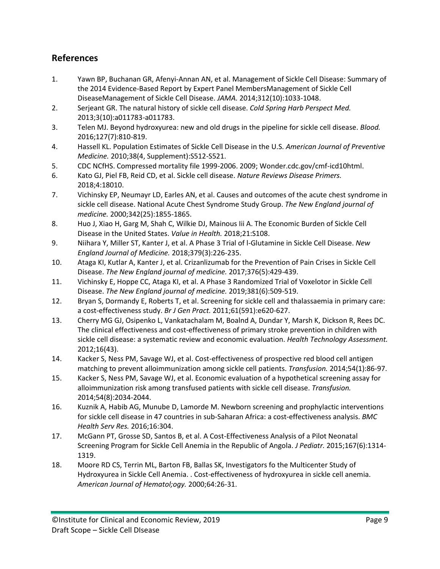# **References**

- <span id="page-8-0"></span>1. Yawn BP, Buchanan GR, Afenyi-Annan AN, et al. Management of Sickle Cell Disease: Summary of the 2014 Evidence-Based Report by Expert Panel MembersManagement of Sickle Cell DiseaseManagement of Sickle Cell Disease. *JAMA.* 2014;312(10):1033-1048.
- <span id="page-8-1"></span>2. Serjeant GR. The natural history of sickle cell disease. *Cold Spring Harb Perspect Med.*  2013;3(10):a011783-a011783.
- <span id="page-8-2"></span>3. Telen MJ. Beyond hydroxyurea: new and old drugs in the pipeline for sickle cell disease. *Blood.*  2016;127(7):810-819.
- <span id="page-8-3"></span>4. Hassell KL. Population Estimates of Sickle Cell Disease in the U.S. *American Journal of Preventive Medicine.* 2010;38(4, Supplement):S512-S521.
- <span id="page-8-4"></span>5. CDC NCfHS. Compressed mortality file 1999-2006. 2009; Wonder.cdc.gov/cmf-icd10html.
- <span id="page-8-5"></span>6. Kato GJ, Piel FB, Reid CD, et al. Sickle cell disease. *Nature Reviews Disease Primers.*  2018;4:18010.
- <span id="page-8-6"></span>7. Vichinsky EP, Neumayr LD, Earles AN, et al. Causes and outcomes of the acute chest syndrome in sickle cell disease. National Acute Chest Syndrome Study Group. *The New England journal of medicine.* 2000;342(25):1855-1865.
- <span id="page-8-7"></span>8. Huo J, Xiao H, Garg M, Shah C, Wilkie DJ, Mainous Iii A. The Economic Burden of Sickle Cell Disease in the United States. *Value in Health.* 2018;21:S108.
- <span id="page-8-8"></span>9. Niihara Y, Miller ST, Kanter J, et al. A Phase 3 Trial of l-Glutamine in Sickle Cell Disease. *New England Journal of Medicine.* 2018;379(3):226-235.
- <span id="page-8-9"></span>10. Ataga KI, Kutlar A, Kanter J, et al. Crizanlizumab for the Prevention of Pain Crises in Sickle Cell Disease. *The New England journal of medicine.* 2017;376(5):429-439.
- <span id="page-8-10"></span>11. Vichinsky E, Hoppe CC, Ataga KI, et al. A Phase 3 Randomized Trial of Voxelotor in Sickle Cell Disease. *The New England journal of medicine.* 2019;381(6):509-519.
- <span id="page-8-11"></span>12. Bryan S, Dormandy E, Roberts T, et al. Screening for sickle cell and thalassaemia in primary care: a cost-effectiveness study. *Br J Gen Pract.* 2011;61(591):e620-627.
- 13. Cherry MG GJ, Osipenko L, Vankatachalam M, Boalnd A, Dundar Y, Marsh K, Dickson R, Rees DC. The clinical effectiveness and cost-effectiveness of primary stroke prevention in children with sickle cell disease: a systematic review and economic evaluation. *Health Technology Assessment.*  2012;16(43).
- 14. Kacker S, Ness PM, Savage WJ, et al. Cost-effectiveness of prospective red blood cell antigen matching to prevent alloimmunization among sickle cell patients. *Transfusion.* 2014;54(1):86-97.
- 15. Kacker S, Ness PM, Savage WJ, et al. Economic evaluation of a hypothetical screening assay for alloimmunization risk among transfused patients with sickle cell disease. *Transfusion.*  2014;54(8):2034-2044.
- 16. Kuznik A, Habib AG, Munube D, Lamorde M. Newborn screening and prophylactic interventions for sickle cell disease in 47 countries in sub-Saharan Africa: a cost-effectiveness analysis. *BMC Health Serv Res.* 2016;16:304.
- 17. McGann PT, Grosse SD, Santos B, et al. A Cost-Effectiveness Analysis of a Pilot Neonatal Screening Program for Sickle Cell Anemia in the Republic of Angola. *J Pediatr.* 2015;167(6):1314- 1319.
- 18. Moore RD CS, Terrin ML, Barton FB, Ballas SK, Investigators fo the Multicenter Study of Hydroxyurea in Sickle Cell Anemia. . Cost-effectiveness of hydroxyurea in sickle cell anemia. *American Journal of Hematol;ogy.* 2000;64:26-31.